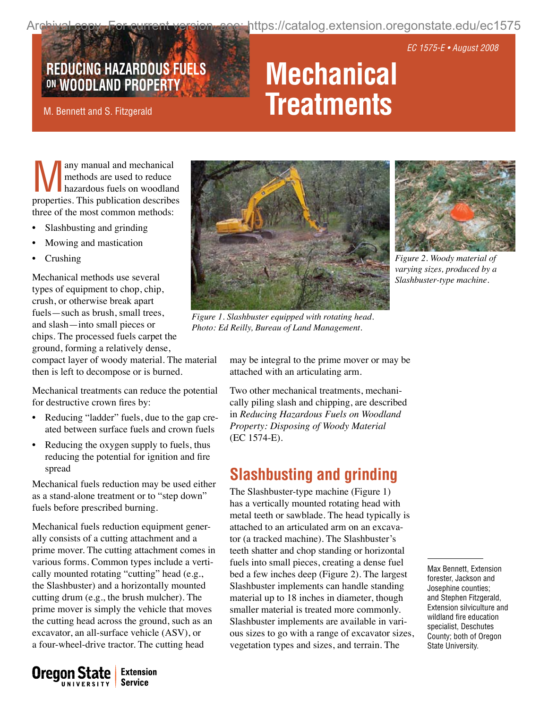https://catalog.extension.oregonstate.edu/ec1575

EC 1575-E • August 2008

# **REDUCING HAZARDOUS FUELS Mechanical**

#### M. Bennett and S. Fitzgerald

# **Treatments**

Many manual and mechanical<br>methods are used to reduce<br>hazardous fuels on woodland methods are used to reduce hazardous fuels on woodland properties. This publication describes three of the most common methods:

- Slashbusting and grinding
- Mowing and mastication
- **Crushing**

Mechanical methods use several types of equipment to chop, chip, crush, or otherwise break apart fuels—such as brush, small trees, and slash—into small pieces or chips. The processed fuels carpet the ground, forming a relatively dense,

compact layer of woody material. The material then is left to decompose or is burned.

Mechanical treatments can reduce the potential for destructive crown fires by:

- Reducing "ladder" fuels, due to the gap created between surface fuels and crown fuels
- Reducing the oxygen supply to fuels, thus reducing the potential for ignition and fire spread

Mechanical fuels reduction may be used either as a stand-alone treatment or to "step down" fuels before prescribed burning.

Mechanical fuels reduction equipment generally consists of a cutting attachment and a prime mover. The cutting attachment comes in various forms. Common types include a vertically mounted rotating "cutting" head (e.g., the Slashbuster) and a horizontally mounted cutting drum (e.g., the brush mulcher). The prime mover is simply the vehicle that moves the cutting head across the ground, such as an excavator, an all-surface vehicle (ASV), or a four-wheel-drive tractor. The cutting head



*Figure 1. Slashbuster equipped with rotating head. Photo: Ed Reilly, Bureau of Land Management.*



*Figure 2. Woody material of varying sizes, produced by a Slashbuster-type machine.*

may be integral to the prime mover or may be attached with an articulating arm.

Two other mechanical treatments, mechanically piling slash and chipping, are described in *Reducing Hazardous Fuels on Woodland Property: Disposing of Woody Material* (EC 1574‑E).

## **Slashbusting and grinding**

The Slashbuster-type machine (Figure 1) has a vertically mounted rotating head with metal teeth or sawblade. The head typically is attached to an articulated arm on an excavator (a tracked machine). The Slashbuster's teeth shatter and chop standing or horizontal fuels into small pieces, creating a dense fuel bed a few inches deep (Figure 2). The largest Slashbuster implements can handle standing material up to 18 inches in diameter, though smaller material is treated more commonly. Slashbuster implements are available in various sizes to go with a range of excavator sizes, vegetation types and sizes, and terrain. The

Max Bennett, Extension forester, Jackson and Josephine counties; and Stephen Fitzgerald, Extension silviculture and wildland fire education specialist, Deschutes County; both of Oregon State University.

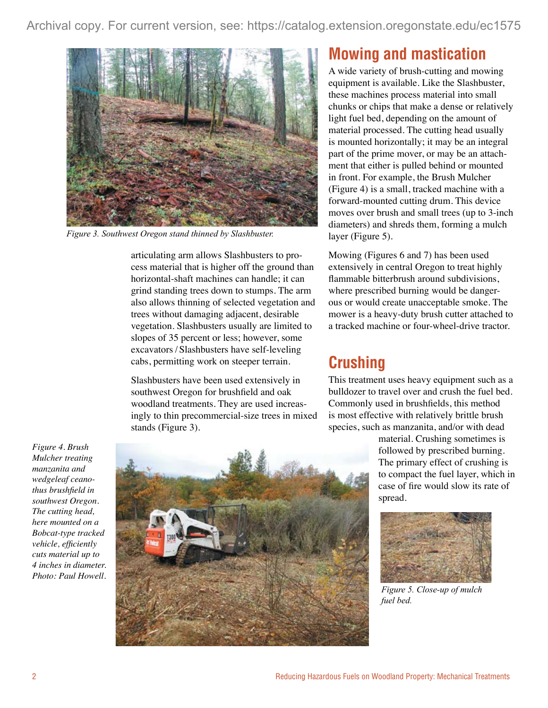

*Figure 3. Southwest Oregon stand thinned by Slashbuster.* 

articulating arm allows Slashbusters to process material that is higher off the ground than horizontal-shaft machines can handle; it can grind standing trees down to stumps. The arm also allows thinning of selected vegetation and trees without damaging adjacent, desirable vegetation. Slashbusters usually are limited to slopes of 35 percent or less; however, some excavators / Slashbusters have self-leveling cabs, permitting work on steeper terrain.

Slashbusters have been used extensively in southwest Oregon for brushfield and oak woodland treatments. They are used increasingly to thin precommercial-size trees in mixed stands (Figure 3).

### **Mowing and mastication**

A wide variety of brush-cutting and mowing equipment is available. Like the Slashbuster, these machines process material into small chunks or chips that make a dense or relatively light fuel bed, depending on the amount of material processed. The cutting head usually is mounted horizontally; it may be an integral part of the prime mover, or may be an attachment that either is pulled behind or mounted in front. For example, the Brush Mulcher (Figure 4) is a small, tracked machine with a forward-mounted cutting drum. This device moves over brush and small trees (up to 3-inch diameters) and shreds them, forming a mulch layer (Figure 5).

Mowing (Figures 6 and 7) has been used extensively in central Oregon to treat highly flammable bitterbrush around subdivisions, where prescribed burning would be dangerous or would create unacceptable smoke. The mower is a heavy-duty brush cutter attached to a tracked machine or four-wheel-drive tractor.

# **Crushing**

This treatment uses heavy equipment such as a bulldozer to travel over and crush the fuel bed. Commonly used in brushfields, this method is most effective with relatively brittle brush species, such as manzanita, and/or with dead

> material. Crushing sometimes is followed by prescribed burning. The primary effect of crushing is to compact the fuel layer, which in case of fire would slow its rate of spread.



*Figure 5. Close-up of mulch fuel bed.*

*Figure 4. Brush Mulcher treating manzanita and wedgeleaf ceanothus brushfield in southwest Oregon. The cutting head, here mounted on a Bobcat-type tracked vehicle, efficiently cuts material up to 4 inches in diameter. Photo: Paul Howell.*

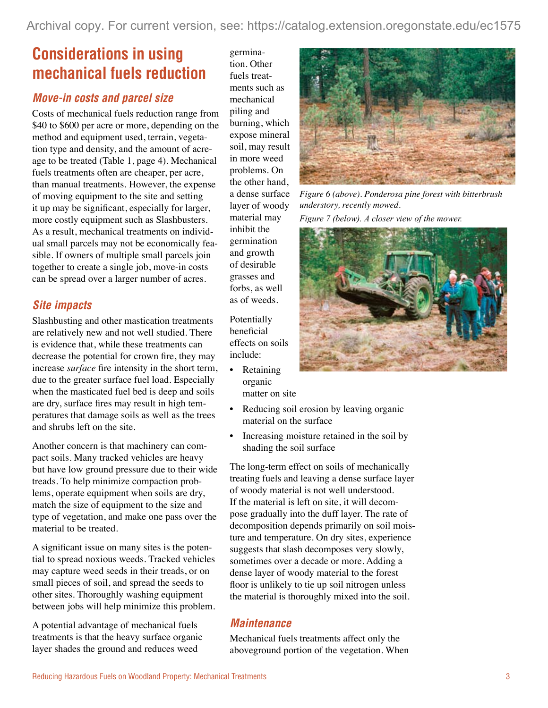# **Considerations in using mechanical fuels reduction**

#### *Move-in costs and parcel size*

Costs of mechanical fuels reduction range from \$40 to \$600 per acre or more, depending on the method and equipment used, terrain, vegetation type and density, and the amount of acreage to be treated (Table 1, page 4). Mechanical fuels treatments often are cheaper, per acre, than manual treatments. However, the expense of moving equipment to the site and setting it up may be significant, especially for larger, more costly equipment such as Slashbusters. As a result, mechanical treatments on individual small parcels may not be economically feasible. If owners of multiple small parcels join together to create a single job, move-in costs can be spread over a larger number of acres.

#### *Site impacts*

Slashbusting and other mastication treatments are relatively new and not well studied. There is evidence that, while these treatments can decrease the potential for crown fire, they may increase *surface* fire intensity in the short term, due to the greater surface fuel load. Especially when the masticated fuel bed is deep and soils are dry, surface fires may result in high temperatures that damage soils as well as the trees and shrubs left on the site.

Another concern is that machinery can compact soils. Many tracked vehicles are heavy but have low ground pressure due to their wide treads. To help minimize compaction problems, operate equipment when soils are dry, match the size of equipment to the size and type of vegetation, and make one pass over the material to be treated.

A significant issue on many sites is the potential to spread noxious weeds. Tracked vehicles may capture weed seeds in their treads, or on small pieces of soil, and spread the seeds to other sites. Thoroughly washing equipment between jobs will help minimize this problem.

A potential advantage of mechanical fuels treatments is that the heavy surface organic layer shades the ground and reduces weed

germination. Other fuels treatments such as mechanical piling and burning, which expose mineral soil, may result in more weed problems. On the other hand, a dense surface layer of woody material may inhibit the germination and growth of desirable grasses and forbs, as well as of weeds.

Potentially beneficial effects on soils include:

- Retaining organic matter on site
- • Reducing soil erosion by leaving organic material on the surface
- Increasing moisture retained in the soil by shading the soil surface

The long-term effect on soils of mechanically treating fuels and leaving a dense surface layer of woody material is not well understood. If the material is left on site, it will decompose gradually into the duff layer. The rate of decomposition depends primarily on soil moisture and temperature. On dry sites, experience suggests that slash decomposes very slowly, sometimes over a decade or more. Adding a dense layer of woody material to the forest floor is unlikely to tie up soil nitrogen unless the material is thoroughly mixed into the soil.

#### *Maintenance*

Mechanical fuels treatments affect only the aboveground portion of the vegetation. When



*Figure 6 (above). Ponderosa pine forest with bitterbrush understory, recently mowed.*

*Figure 7 (below). A closer view of the mower.*